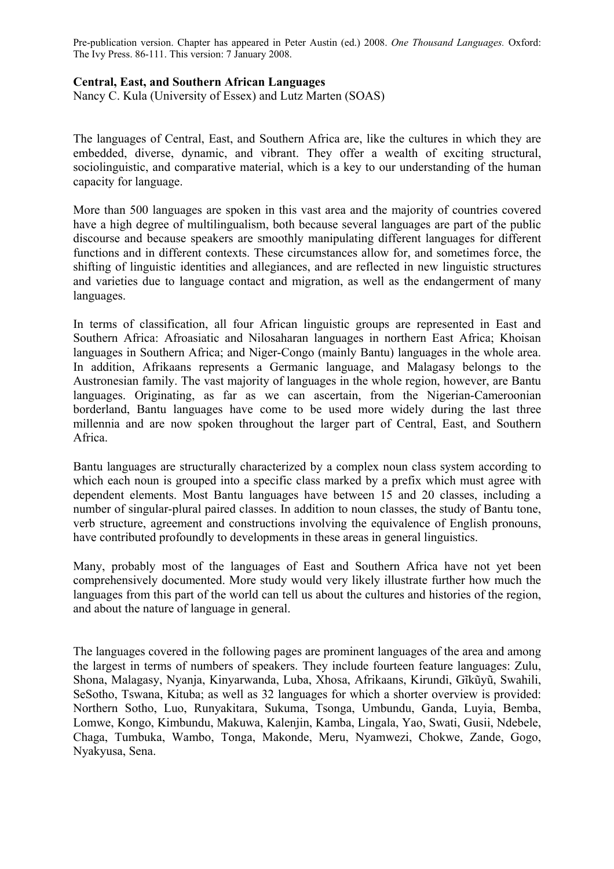Pre-publication version. Chapter has appeared in Peter Austin (ed.) 2008. *One Thousand Languages.* Oxford: The Ivy Press. 86-111. This version: 7 January 2008.

## **Central, East, and Southern African Languages**

Nancy C. Kula (University of Essex) and Lutz Marten (SOAS)

The languages of Central, East, and Southern Africa are, like the cultures in which they are embedded, diverse, dynamic, and vibrant. They offer a wealth of exciting structural, sociolinguistic, and comparative material, which is a key to our understanding of the human capacity for language.

More than 500 languages are spoken in this vast area and the majority of countries covered have a high degree of multilingualism, both because several languages are part of the public discourse and because speakers are smoothly manipulating different languages for different functions and in different contexts. These circumstances allow for, and sometimes force, the shifting of linguistic identities and allegiances, and are reflected in new linguistic structures and varieties due to language contact and migration, as well as the endangerment of many languages.

In terms of classification, all four African linguistic groups are represented in East and Southern Africa: Afroasiatic and Nilosaharan languages in northern East Africa; Khoisan languages in Southern Africa; and Niger-Congo (mainly Bantu) languages in the whole area. In addition, Afrikaans represents a Germanic language, and Malagasy belongs to the Austronesian family. The vast majority of languages in the whole region, however, are Bantu languages. Originating, as far as we can ascertain, from the Nigerian-Cameroonian borderland, Bantu languages have come to be used more widely during the last three millennia and are now spoken throughout the larger part of Central, East, and Southern Africa.

Bantu languages are structurally characterized by a complex noun class system according to which each noun is grouped into a specific class marked by a prefix which must agree with dependent elements. Most Bantu languages have between 15 and 20 classes, including a number of singular-plural paired classes. In addition to noun classes, the study of Bantu tone, verb structure, agreement and constructions involving the equivalence of English pronouns, have contributed profoundly to developments in these areas in general linguistics.

Many, probably most of the languages of East and Southern Africa have not yet been comprehensively documented. More study would very likely illustrate further how much the languages from this part of the world can tell us about the cultures and histories of the region, and about the nature of language in general.

The languages covered in the following pages are prominent languages of the area and among the largest in terms of numbers of speakers. They include fourteen feature languages: Zulu, Shona, Malagasy, Nyanja, Kinyarwanda, Luba, Xhosa, Afrikaans, Kirundi, Gĩkũyũ, Swahili, SeSotho, Tswana, Kituba; as well as 32 languages for which a shorter overview is provided: Northern Sotho, Luo, Runyakitara, Sukuma, Tsonga, Umbundu, Ganda, Luyia, Bemba, Lomwe, Kongo, Kimbundu, Makuwa, Kalenjin, Kamba, Lingala, Yao, Swati, Gusii, Ndebele, Chaga, Tumbuka, Wambo, Tonga, Makonde, Meru, Nyamwezi, Chokwe, Zande, Gogo, Nyakyusa, Sena.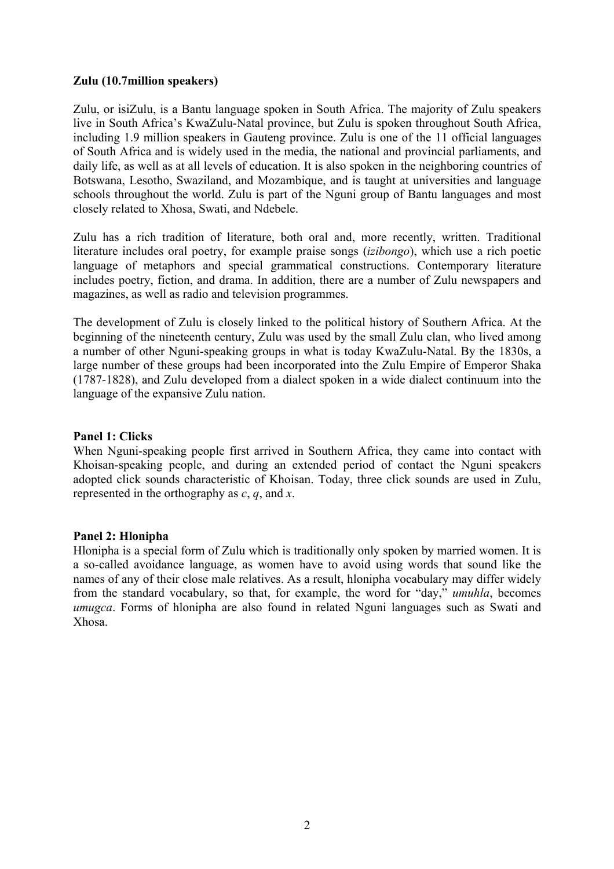### **Zulu (10.7million speakers)**

Zulu, or isiZulu, is a Bantu language spoken in South Africa. The majority of Zulu speakers live in South Africa's KwaZulu-Natal province, but Zulu is spoken throughout South Africa, including 1.9 million speakers in Gauteng province. Zulu is one of the 11 official languages of South Africa and is widely used in the media, the national and provincial parliaments, and daily life, as well as at all levels of education. It is also spoken in the neighboring countries of Botswana, Lesotho, Swaziland, and Mozambique, and is taught at universities and language schools throughout the world. Zulu is part of the Nguni group of Bantu languages and most closely related to Xhosa, Swati, and Ndebele.

Zulu has a rich tradition of literature, both oral and, more recently, written. Traditional literature includes oral poetry, for example praise songs (*izibongo*), which use a rich poetic language of metaphors and special grammatical constructions. Contemporary literature includes poetry, fiction, and drama. In addition, there are a number of Zulu newspapers and magazines, as well as radio and television programmes.

The development of Zulu is closely linked to the political history of Southern Africa. At the beginning of the nineteenth century, Zulu was used by the small Zulu clan, who lived among a number of other Nguni-speaking groups in what is today KwaZulu-Natal. By the 1830s, a large number of these groups had been incorporated into the Zulu Empire of Emperor Shaka (1787-1828), and Zulu developed from a dialect spoken in a wide dialect continuum into the language of the expansive Zulu nation.

## **Panel 1: Clicks**

When Nguni-speaking people first arrived in Southern Africa, they came into contact with Khoisan-speaking people, and during an extended period of contact the Nguni speakers adopted click sounds characteristic of Khoisan. Today, three click sounds are used in Zulu, represented in the orthography as *c*, *q*, and *x*.

### **Panel 2: Hlonipha**

Hlonipha is a special form of Zulu which is traditionally only spoken by married women. It is a so-called avoidance language, as women have to avoid using words that sound like the names of any of their close male relatives. As a result, hlonipha vocabulary may differ widely from the standard vocabulary, so that, for example, the word for "day," *umuhla*, becomes *umugca*. Forms of hlonipha are also found in related Nguni languages such as Swati and Xhosa.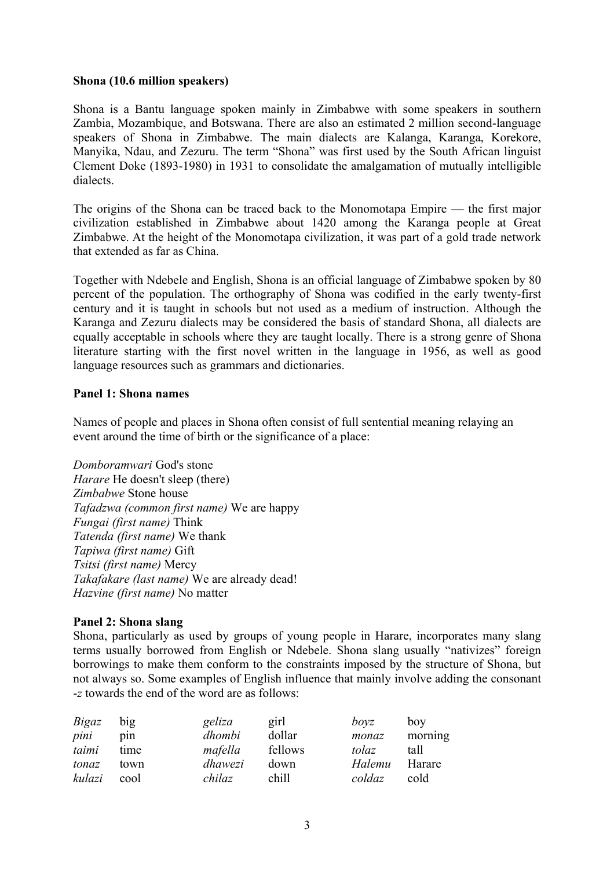### **Shona (10.6 million speakers)**

Shona is a Bantu language spoken mainly in Zimbabwe with some speakers in southern Zambia, Mozambique, and Botswana. There are also an estimated 2 million second-language speakers of Shona in Zimbabwe. The main dialects are Kalanga, Karanga, Korekore, Manyika, Ndau, and Zezuru. The term "Shona" was first used by the South African linguist Clement Doke (1893-1980) in 1931 to consolidate the amalgamation of mutually intelligible dialects.

The origins of the Shona can be traced back to the Monomotapa Empire — the first major civilization established in Zimbabwe about 1420 among the Karanga people at Great Zimbabwe. At the height of the Monomotapa civilization, it was part of a gold trade network that extended as far as China.

Together with Ndebele and English, Shona is an official language of Zimbabwe spoken by 80 percent of the population. The orthography of Shona was codified in the early twenty-first century and it is taught in schools but not used as a medium of instruction. Although the Karanga and Zezuru dialects may be considered the basis of standard Shona, all dialects are equally acceptable in schools where they are taught locally. There is a strong genre of Shona literature starting with the first novel written in the language in 1956, as well as good language resources such as grammars and dictionaries.

#### **Panel 1: Shona names**

Names of people and places in Shona often consist of full sentential meaning relaying an event around the time of birth or the significance of a place:

*Domboramwari* God's stone *Harare* He doesn't sleep (there) *Zimbabwe* Stone house *Tafadzwa (common first name)* We are happy *Fungai (first name)* Think *Tatenda (first name)* We thank *Tapiwa (first name)* Gift *Tsitsi (first name)* Mercy *Takafakare (last name)* We are already dead! *Hazvine (first name)* No matter

### **Panel 2: Shona slang**

Shona, particularly as used by groups of young people in Harare, incorporates many slang terms usually borrowed from English or Ndebele. Shona slang usually "nativizes" foreign borrowings to make them conform to the constraints imposed by the structure of Shona, but not always so. Some examples of English influence that mainly involve adding the consonant -*z* towards the end of the word are as follows:

| Bigaz  | big  | geliza  | girl    | boyz   | boy     |
|--------|------|---------|---------|--------|---------|
| pini   | pin  | dhombi  | dollar  | monaz  | morning |
| taimi  | time | mafella | fellows | tolaz  | tall    |
| tonaz  | town | dhawezi | down    | Halemu | Harare  |
| kulazi | cool | chilaz  | chill   | coldaz | cold    |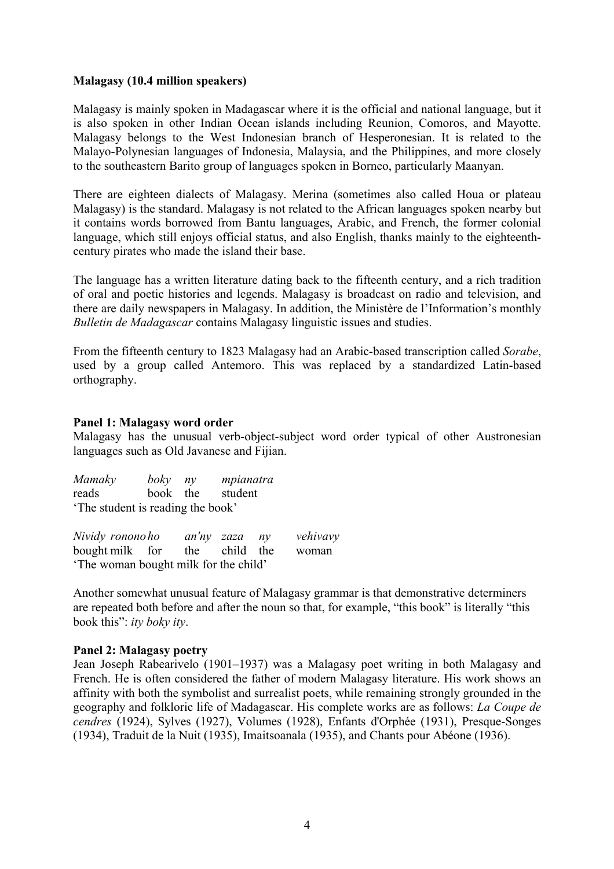### **Malagasy (10.4 million speakers)**

Malagasy is mainly spoken in Madagascar where it is the official and national language, but it is also spoken in other Indian Ocean islands including Reunion, Comoros, and Mayotte. Malagasy belongs to the West Indonesian branch of Hesperonesian. It is related to the Malayo-Polynesian languages of Indonesia, Malaysia, and the Philippines, and more closely to the southeastern Barito group of languages spoken in Borneo, particularly Maanyan.

There are eighteen dialects of Malagasy. Merina (sometimes also called Houa or plateau Malagasy) is the standard. Malagasy is not related to the African languages spoken nearby but it contains words borrowed from Bantu languages, Arabic, and French, the former colonial language, which still enjoys official status, and also English, thanks mainly to the eighteenthcentury pirates who made the island their base.

The language has a written literature dating back to the fifteenth century, and a rich tradition of oral and poetic histories and legends. Malagasy is broadcast on radio and television, and there are daily newspapers in Malagasy. In addition, the Ministère de l'Information's monthly *Bulletin de Madagascar* contains Malagasy linguistic issues and studies.

From the fifteenth century to 1823 Malagasy had an Arabic-based transcription called *Sorabe*, used by a group called Antemoro. This was replaced by a standardized Latin-based orthography.

## **Panel 1: Malagasy word order**

Malagasy has the unusual verb-object-subject word order typical of other Austronesian languages such as Old Javanese and Fijian.

| Mamaky                           | boky ny  |  | mpianatra |  |
|----------------------------------|----------|--|-----------|--|
| reads                            | book the |  | student   |  |
| The student is reading the book' |          |  |           |  |

| Nividy ronono ho                     | an'ny zaza ny |               | vehivavy |
|--------------------------------------|---------------|---------------|----------|
| bought milk for                      |               | the child the | woman    |
| The woman bought milk for the child' |               |               |          |

Another somewhat unusual feature of Malagasy grammar is that demonstrative determiners are repeated both before and after the noun so that, for example, "this book" is literally "this book this": *ity boky ity*.

## **Panel 2: Malagasy poetry**

Jean Joseph Rabearivelo (1901–1937) was a Malagasy poet writing in both Malagasy and French. He is often considered the father of modern Malagasy literature. His work shows an affinity with both the symbolist and surrealist poets, while remaining strongly grounded in the geography and folkloric life of Madagascar. His complete works are as follows: *La Coupe de cendres* (1924), Sylves (1927), Volumes (1928), Enfants d'Orphée (1931), Presque-Songes (1934), Traduit de la Nuit (1935), Imaitsoanala (1935), and Chants pour Abéone (1936).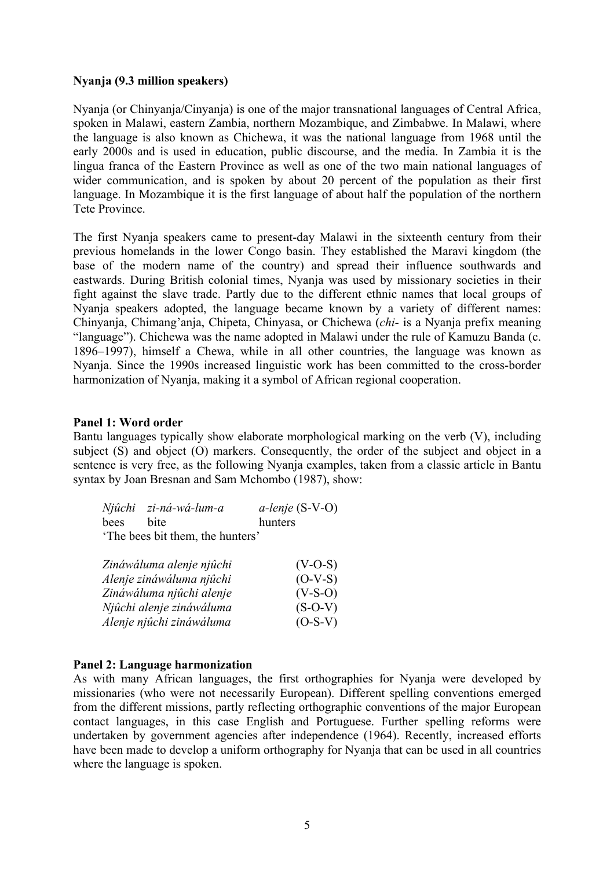### **Nyanja (9.3 million speakers)**

Nyanja (or Chinyanja/Cinyanja) is one of the major transnational languages of Central Africa, spoken in Malawi, eastern Zambia, northern Mozambique, and Zimbabwe. In Malawi, where the language is also known as Chichewa, it was the national language from 1968 until the early 2000s and is used in education, public discourse, and the media. In Zambia it is the lingua franca of the Eastern Province as well as one of the two main national languages of wider communication, and is spoken by about 20 percent of the population as their first language. In Mozambique it is the first language of about half the population of the northern Tete Province.

The first Nyanja speakers came to present-day Malawi in the sixteenth century from their previous homelands in the lower Congo basin. They established the Maravi kingdom (the base of the modern name of the country) and spread their influence southwards and eastwards. During British colonial times, Nyanja was used by missionary societies in their fight against the slave trade. Partly due to the different ethnic names that local groups of Nyanja speakers adopted, the language became known by a variety of different names: Chinyanja, Chimang'anja, Chipeta, Chinyasa, or Chichewa (*chi-* is a Nyanja prefix meaning "language"). Chichewa was the name adopted in Malawi under the rule of Kamuzu Banda (c. 1896–1997), himself a Chewa, while in all other countries, the language was known as Nyanja. Since the 1990s increased linguistic work has been committed to the cross-border harmonization of Nyanja, making it a symbol of African regional cooperation.

### **Panel 1: Word order**

Bantu languages typically show elaborate morphological marking on the verb (V), including subject (S) and object (O) markers. Consequently, the order of the subject and object in a sentence is very free, as the following Nyanja examples, taken from a classic article in Bantu syntax by Joan Bresnan and Sam Mchombo (1987), show:

|                                 | Njûchi zi-ná-wá-lum-a | $a$ -lenje (S-V-O) |  |  |  |
|---------------------------------|-----------------------|--------------------|--|--|--|
| bees                            | hite                  | hunters            |  |  |  |
| The bees bit them, the hunters' |                       |                    |  |  |  |

| Zináwáluma alenje njûchi | $(V-O-S)$ |
|--------------------------|-----------|
| Alenje zináwáluma njûchi | $(O-V-S)$ |
| Zináwáluma njûchi alenje | $(V-S-O)$ |
| Njûchi alenje zináwáluma | $(S-O-V)$ |
| Alenje njûchi zináwáluma | $(O-S-V)$ |

### **Panel 2: Language harmonization**

As with many African languages, the first orthographies for Nyanja were developed by missionaries (who were not necessarily European). Different spelling conventions emerged from the different missions, partly reflecting orthographic conventions of the major European contact languages, in this case English and Portuguese. Further spelling reforms were undertaken by government agencies after independence (1964). Recently, increased efforts have been made to develop a uniform orthography for Nyanja that can be used in all countries where the language is spoken.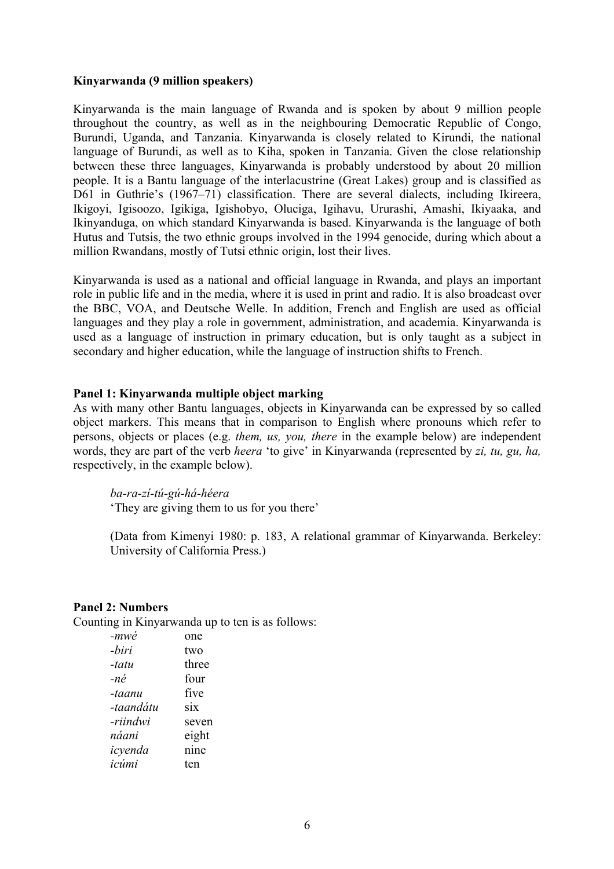#### **Kinyarwanda (9 million speakers)**

Kinyarwanda is the main language of Rwanda and is spoken by about 9 million people throughout the country, as well as in the neighbouring Democratic Republic of Congo, Burundi, Uganda, and Tanzania. Kinyarwanda is closely related to Kirundi, the national language of Burundi, as well as to Kiha, spoken in Tanzania. Given the close relationship between these three languages, Kinyarwanda is probably understood by about 20 million people. It is a Bantu language of the interlacustrine (Great Lakes) group and is classified as D61 in Guthrie's (1967–71) classification. There are several dialects, including Ikireera, Ikigoyi, Igisoozo, Igikiga, Igishobyo, Oluciga, Igihavu, Ururashi, Amashi, Ikiyaaka, and Ikinyanduga, on which standard Kinyarwanda is based. Kinyarwanda is the language of both Hutus and Tutsis, the two ethnic groups involved in the 1994 genocide, during which about a million Rwandans, mostly of Tutsi ethnic origin, lost their lives.

Kinyarwanda is used as a national and official language in Rwanda, and plays an important role in public life and in the media, where it is used in print and radio. It is also broadcast over the BBC, VOA, and Deutsche Welle. In addition, French and English are used as official languages and they play a role in government, administration, and academia. Kinyarwanda is used as a language of instruction in primary education, but is only taught as a subject in secondary and higher education, while the language of instruction shifts to French.

#### **Panel 1: Kinyarwanda multiple object marking**

As with many other Bantu languages, objects in Kinyarwanda can be expressed by so called object markers. This means that in comparison to English where pronouns which refer to persons, objects or places (e.g. *them, us, you, there* in the example below) are independent words, they are part of the verb *heera* 'to give' in Kinyarwanda (represented by *zi, tu, gu, ha,* respectively, in the example below).

*ba-ra-zí-tú-gú-há-héera*  'They are giving them to us for you there'

(Data from Kimenyi 1980: p. 183, A relational grammar of Kinyarwanda. Berkeley: University of California Press.)

#### **Panel 2: Numbers**

Counting in Kinyarwanda up to ten is as follows:

| $-mw\acute{e}$ | one   |
|----------------|-------|
| -biri          | two   |
| -tatu          | three |
| -né            | four  |
| -taanu         | five  |
| -taandátu      | six   |
| -riindwi       | seven |
| náani          | eight |
| icyenda        | nine  |
| icúmi          | ten   |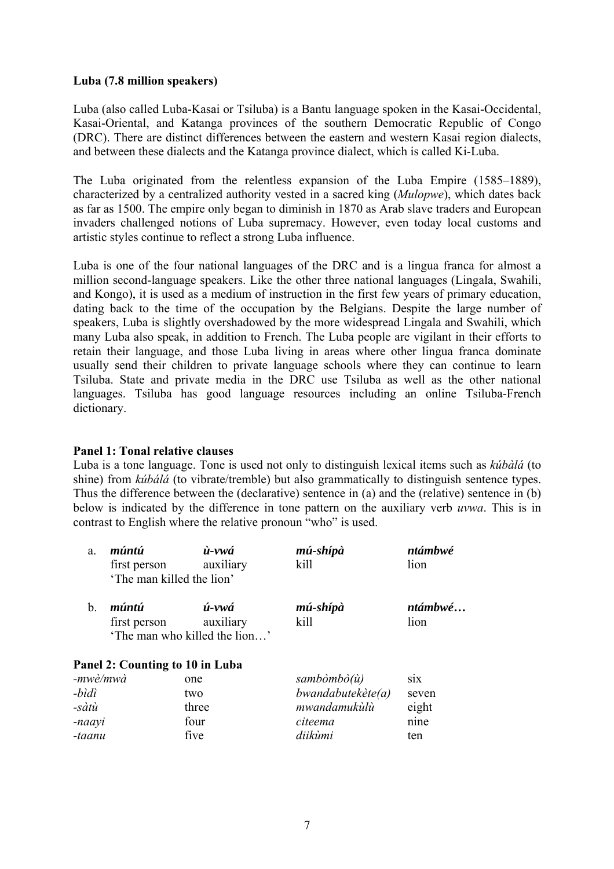## **Luba (7.8 million speakers)**

Luba (also called Luba-Kasai or Tsiluba) is a Bantu language spoken in the Kasai-Occidental, Kasai-Oriental, and Katanga provinces of the southern Democratic Republic of Congo (DRC). There are distinct differences between the eastern and western Kasai region dialects, and between these dialects and the Katanga province dialect, which is called Ki-Luba.

The Luba originated from the relentless expansion of the Luba Empire (1585–1889), characterized by a centralized authority vested in a sacred king (*Mulopwe*), which dates back as far as 1500. The empire only began to diminish in 1870 as Arab slave traders and European invaders challenged notions of Luba supremacy. However, even today local customs and artistic styles continue to reflect a strong Luba influence.

Luba is one of the four national languages of the DRC and is a lingua franca for almost a million second-language speakers. Like the other three national languages (Lingala, Swahili, and Kongo), it is used as a medium of instruction in the first few years of primary education, dating back to the time of the occupation by the Belgians. Despite the large number of speakers, Luba is slightly overshadowed by the more widespread Lingala and Swahili, which many Luba also speak, in addition to French. The Luba people are vigilant in their efforts to retain their language, and those Luba living in areas where other lingua franca dominate usually send their children to private language schools where they can continue to learn Tsiluba. State and private media in the DRC use Tsiluba as well as the other national languages. Tsiluba has good language resources including an online Tsiluba-French dictionary.

### **Panel 1: Tonal relative clauses**

Luba is a tone language. Tone is used not only to distinguish lexical items such as *kúbàlá* (to shine) from *kúbálá* (to vibrate/tremble) but also grammatically to distinguish sentence types. Thus the difference between the (declarative) sentence in (a) and the (relative) sentence in (b) below is indicated by the difference in tone pattern on the auxiliary verb *uvwa*. This is in contrast to English where the relative pronoun "who" is used.

| a.             | múntú<br>first person           | ù-vwá<br>auxiliary                         | mú-shípà<br>kill  | ntámbwé<br>lion |
|----------------|---------------------------------|--------------------------------------------|-------------------|-----------------|
|                | 'The man killed the lion'       |                                            |                   |                 |
| $\mathbf{b}$ . | múntú                           | ú-vwá                                      | mú-shípà          | ntámbwé         |
|                | first person                    | auxiliary<br>'The man who killed the lion' | kill              | lion            |
|                | Panel 2: Counting to 10 in Luba |                                            |                   |                 |
| -mwè/mwà       |                                 | one                                        | sambòmbò(ù)       | <b>S1X</b>      |
| -bìdì          |                                 | two                                        | bwandabutekète(a) | seven           |
| -sàtù          |                                 | three                                      | mwandamukùlù      | eight           |
| -naayi         |                                 | four                                       | citeema           | nine            |
| -taanu         |                                 | five                                       | diikùmi           | ten             |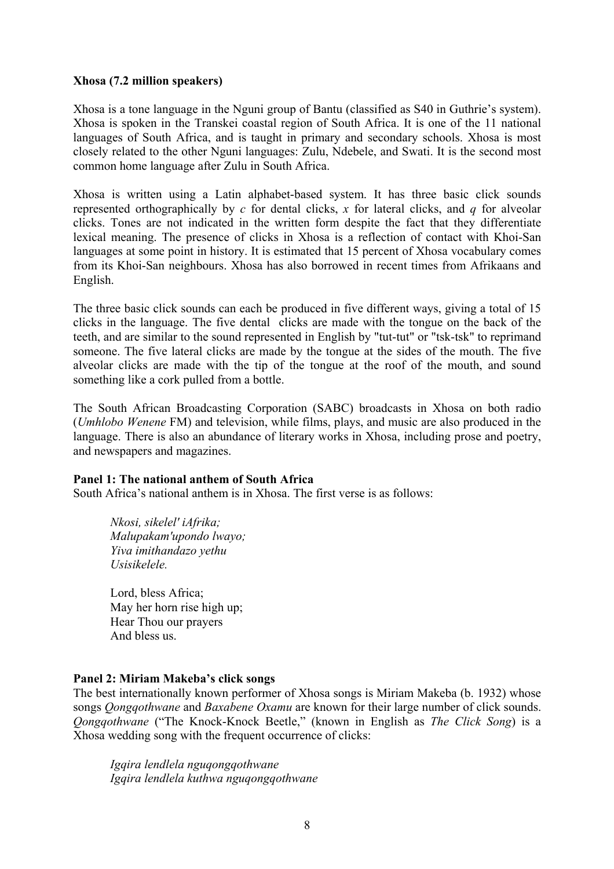### **Xhosa (7.2 million speakers)**

Xhosa is a tone language in the Nguni group of Bantu (classified as S40 in Guthrie's system). Xhosa is spoken in the Transkei coastal region of South Africa. It is one of the 11 national languages of South Africa, and is taught in primary and secondary schools. Xhosa is most closely related to the other Nguni languages: Zulu, Ndebele, and Swati. It is the second most common home language after Zulu in South Africa.

Xhosa is written using a Latin alphabet-based system. It has three basic click sounds represented orthographically by *c* for dental clicks, *x* for lateral clicks, and *q* for alveolar clicks. Tones are not indicated in the written form despite the fact that they differentiate lexical meaning. The presence of clicks in Xhosa is a reflection of contact with Khoi-San languages at some point in history. It is estimated that 15 percent of Xhosa vocabulary comes from its Khoi-San neighbours. Xhosa has also borrowed in recent times from Afrikaans and English.

The three basic click sounds can each be produced in five different ways, giving a total of 15 clicks in the language. The five dental clicks are made with the tongue on the back of the teeth, and are similar to the sound represented in English by "tut-tut" or "tsk-tsk" to reprimand someone. The five lateral clicks are made by the tongue at the sides of the mouth. The five alveolar clicks are made with the tip of the tongue at the roof of the mouth, and sound something like a cork pulled from a bottle.

The South African Broadcasting Corporation (SABC) broadcasts in Xhosa on both radio (*Umhlobo Wenene* FM) and television, while films, plays, and music are also produced in the language. There is also an abundance of literary works in Xhosa, including prose and poetry, and newspapers and magazines.

### **Panel 1: The national anthem of South Africa**

South Africa's national anthem is in Xhosa. The first verse is as follows:

*Nkosi, sikelel' iAfrika; Malupakam'upondo lwayo; Yiva imithandazo yethu Usisikelele.*

Lord, bless Africa; May her horn rise high up; Hear Thou our prayers And bless us.

## **Panel 2: Miriam Makeba's click songs**

The best internationally known performer of Xhosa songs is Miriam Makeba (b. 1932) whose songs *Qongqothwane* and *Baxabene Oxamu* are known for their large number of click sounds. *Qongqothwane* ("The Knock-Knock Beetle," (known in English as *The Click Song*) is a Xhosa wedding song with the frequent occurrence of clicks:

*Igqira lendlela nguqongqothwane Igqira lendlela kuthwa nguqongqothwane*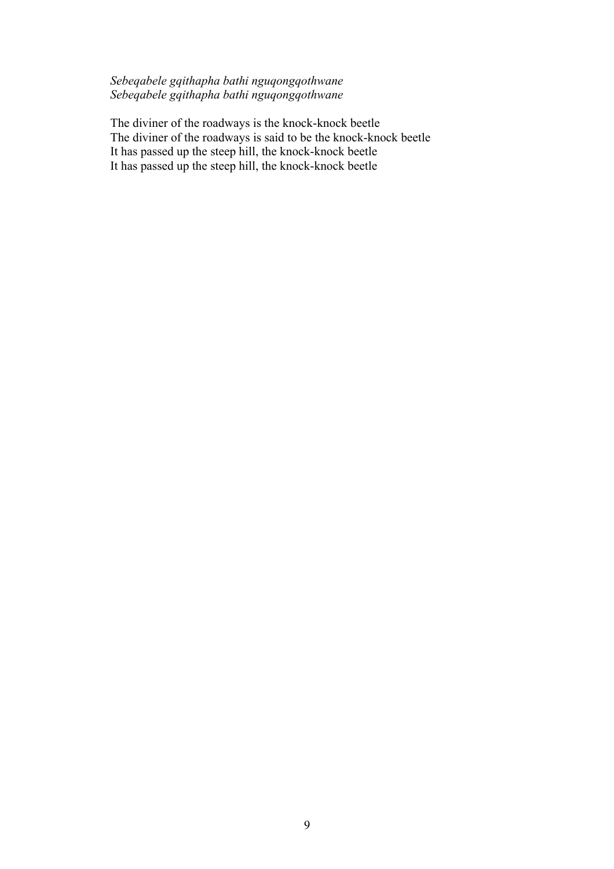# *Sebeqabele gqithapha bathi nguqongqothwane Sebeqabele gqithapha bathi nguqongqothwane*

The diviner of the roadways is the knock-knock beetle The diviner of the roadways is said to be the knock-knock beetle It has passed up the steep hill, the knock-knock beetle It has passed up the steep hill, the knock-knock beetle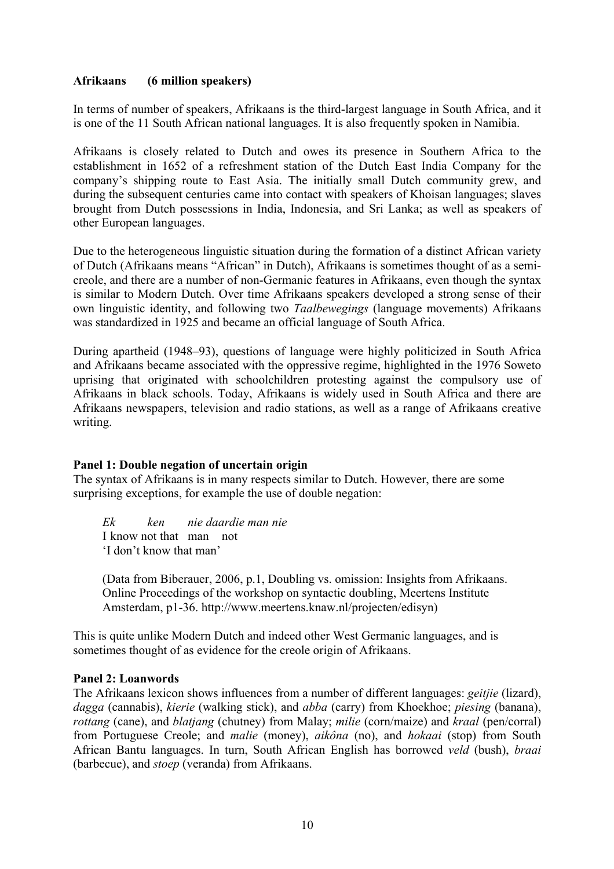## **Afrikaans (6 million speakers)**

In terms of number of speakers, Afrikaans is the third-largest language in South Africa, and it is one of the 11 South African national languages. It is also frequently spoken in Namibia.

Afrikaans is closely related to Dutch and owes its presence in Southern Africa to the establishment in 1652 of a refreshment station of the Dutch East India Company for the company's shipping route to East Asia. The initially small Dutch community grew, and during the subsequent centuries came into contact with speakers of Khoisan languages; slaves brought from Dutch possessions in India, Indonesia, and Sri Lanka; as well as speakers of other European languages.

Due to the heterogeneous linguistic situation during the formation of a distinct African variety of Dutch (Afrikaans means "African" in Dutch), Afrikaans is sometimes thought of as a semicreole, and there are a number of non-Germanic features in Afrikaans, even though the syntax is similar to Modern Dutch. Over time Afrikaans speakers developed a strong sense of their own linguistic identity, and following two *Taalbewegings* (language movements) Afrikaans was standardized in 1925 and became an official language of South Africa.

During apartheid (1948–93), questions of language were highly politicized in South Africa and Afrikaans became associated with the oppressive regime, highlighted in the 1976 Soweto uprising that originated with schoolchildren protesting against the compulsory use of Afrikaans in black schools. Today, Afrikaans is widely used in South Africa and there are Afrikaans newspapers, television and radio stations, as well as a range of Afrikaans creative writing.

## **Panel 1: Double negation of uncertain origin**

The syntax of Afrikaans is in many respects similar to Dutch. However, there are some surprising exceptions, for example the use of double negation:

*Ek ken nie daardie man nie*  I know not that man not 'I don't know that man'

(Data from Biberauer, 2006, p.1, Doubling vs. omission: Insights from Afrikaans. Online Proceedings of the workshop on syntactic doubling, Meertens Institute Amsterdam, p1-36. http://www.meertens.knaw.nl/projecten/edisyn)

This is quite unlike Modern Dutch and indeed other West Germanic languages, and is sometimes thought of as evidence for the creole origin of Afrikaans.

## **Panel 2: Loanwords**

The Afrikaans lexicon shows influences from a number of different languages: *geitjie* (lizard), *dagga* (cannabis), *kierie* (walking stick), and *abba* (carry) from Khoekhoe; *piesing* (banana), *rottang* (cane), and *blatjang* (chutney) from Malay; *milie* (corn/maize) and *kraal* (pen/corral) from Portuguese Creole; and *malie* (money), *aikôna* (no), and *hokaai* (stop) from South African Bantu languages. In turn, South African English has borrowed *veld* (bush), *braai* (barbecue), and *stoep* (veranda) from Afrikaans.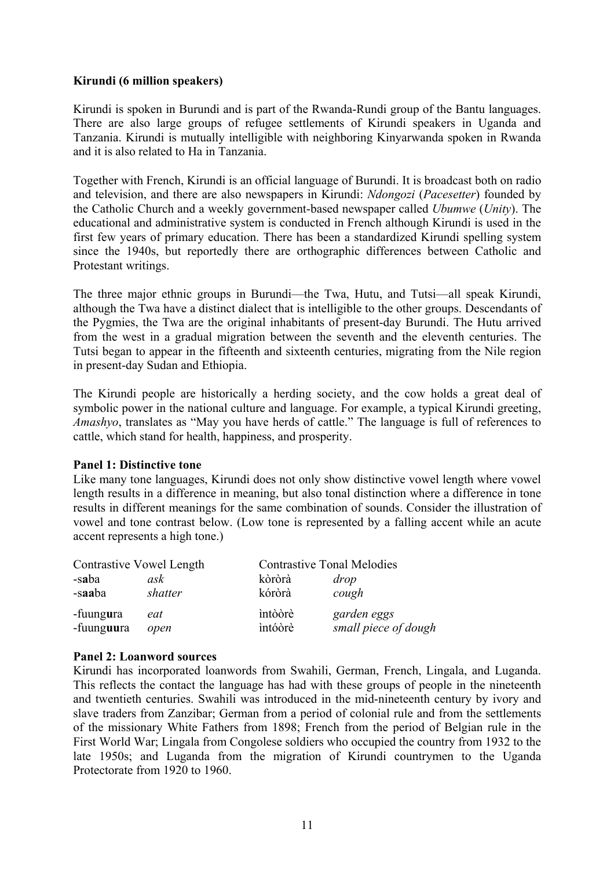## **Kirundi (6 million speakers)**

Kirundi is spoken in Burundi and is part of the Rwanda-Rundi group of the Bantu languages. There are also large groups of refugee settlements of Kirundi speakers in Uganda and Tanzania. Kirundi is mutually intelligible with neighboring Kinyarwanda spoken in Rwanda and it is also related to Ha in Tanzania.

Together with French, Kirundi is an official language of Burundi. It is broadcast both on radio and television, and there are also newspapers in Kirundi: *Ndongozi* (*Pacesetter*) founded by the Catholic Church and a weekly government-based newspaper called *Ubumwe* (*Unity*). The educational and administrative system is conducted in French although Kirundi is used in the first few years of primary education. There has been a standardized Kirundi spelling system since the 1940s, but reportedly there are orthographic differences between Catholic and Protestant writings.

The three major ethnic groups in Burundi—the Twa, Hutu, and Tutsi—all speak Kirundi, although the Twa have a distinct dialect that is intelligible to the other groups. Descendants of the Pygmies, the Twa are the original inhabitants of present-day Burundi. The Hutu arrived from the west in a gradual migration between the seventh and the eleventh centuries. The Tutsi began to appear in the fifteenth and sixteenth centuries, migrating from the Nile region in present-day Sudan and Ethiopia.

The Kirundi people are historically a herding society, and the cow holds a great deal of symbolic power in the national culture and language. For example, a typical Kirundi greeting, *Amashyo*, translates as "May you have herds of cattle." The language is full of references to cattle, which stand for health, happiness, and prosperity.

### **Panel 1: Distinctive tone**

Like many tone languages, Kirundi does not only show distinctive vowel length where vowel length results in a difference in meaning, but also tonal distinction where a difference in tone results in different meanings for the same combination of sounds. Consider the illustration of vowel and tone contrast below. (Low tone is represented by a falling accent while an acute accent represents a high tone.)

| <b>Contrastive Vowel Length</b> |             | <b>Contrastive Tonal Melodies</b> |                                     |
|---------------------------------|-------------|-----------------------------------|-------------------------------------|
| -saba                           | ask         | kòròrà                            | drop                                |
| -saaba                          | shatter     | kóròrà                            | cough                               |
| -fuungura<br>-fuunguura         | eat<br>open | intòòrè<br>intóòrè                | garden eggs<br>small piece of dough |

### **Panel 2: Loanword sources**

Kirundi has incorporated loanwords from Swahili, German, French, Lingala, and Luganda. This reflects the contact the language has had with these groups of people in the nineteenth and twentieth centuries. Swahili was introduced in the mid-nineteenth century by ivory and slave traders from Zanzibar; German from a period of colonial rule and from the settlements of the missionary White Fathers from 1898; French from the period of Belgian rule in the First World War; Lingala from Congolese soldiers who occupied the country from 1932 to the late 1950s; and Luganda from the migration of Kirundi countrymen to the Uganda Protectorate from 1920 to 1960.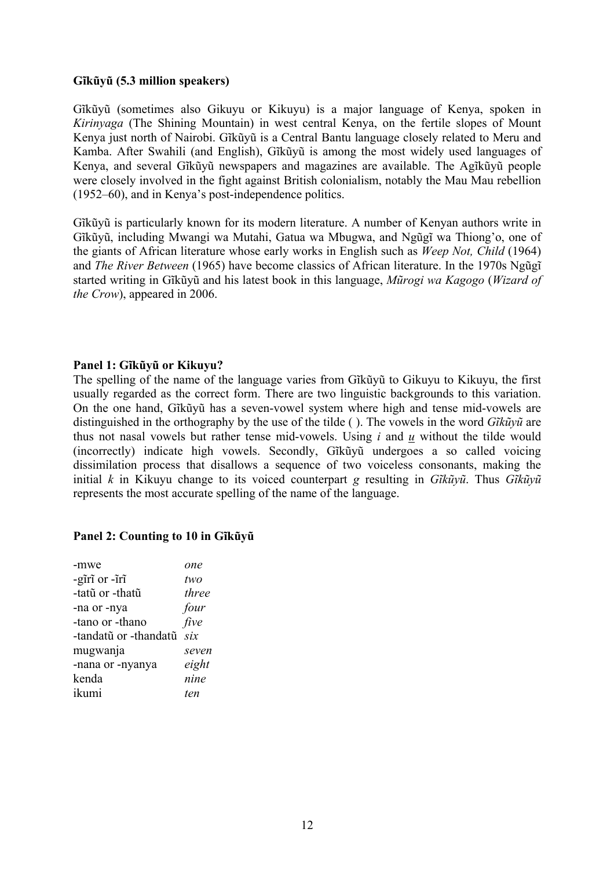### **Gĩkũyũ (5.3 million speakers)**

Gĩkũyũ (sometimes also Gikuyu or Kikuyu) is a major language of Kenya, spoken in *Kirinyaga* (The Shining Mountain) in west central Kenya, on the fertile slopes of Mount Kenya just north of Nairobi. Gĩkũyũ is a Central Bantu language closely related to Meru and Kamba. After Swahili (and English), Gĩkũyũ is among the most widely used languages of Kenya, and several Gĩkũyũ newspapers and magazines are available. The Agĩkũyũ people were closely involved in the fight against British colonialism, notably the Mau Mau rebellion (1952–60), and in Kenya's post-independence politics.

Gĩkũyũ is particularly known for its modern literature. A number of Kenyan authors write in Gĩkũyũ, including Mwangi wa Mutahi, Gatua wa Mbugwa, and Ngũgĩ wa Thiong'o, one of the giants of African literature whose early works in English such as *Weep Not, Child* (1964) and *The River Between* (1965) have become classics of African literature. In the 1970s Ngũgĩ started writing in Gĩkũyũ and his latest book in this language, *Mũrogi wa Kagogo* (*Wizard of the Crow*), appeared in 2006.

### **Panel 1: Gĩkũyũ or Kikuyu?**

The spelling of the name of the language varies from Gĩkũyũ to Gikuyu to Kikuyu, the first usually regarded as the correct form. There are two linguistic backgrounds to this variation. On the one hand, Gĩkũyũ has a seven-vowel system where high and tense mid-vowels are distinguished in the orthography by the use of the tilde ( ). The vowels in the word *Gĩkũyũ* are thus not nasal vowels but rather tense mid-vowels. Using *i* and *u* without the tilde would (incorrectly) indicate high vowels. Secondly, Gĩkũyũ undergoes a so called voicing dissimilation process that disallows a sequence of two voiceless consonants, making the initial *k* in Kikuyu change to its voiced counterpart *g* resulting in *Gĩkũyũ*. Thus *Gĩkũyũ* represents the most accurate spelling of the name of the language.

### **Panel 2: Counting to 10 in Gĩkũyũ**

| -mwe                  | one            |
|-----------------------|----------------|
| -giri or -iri         | two            |
| -tatũ or -thatũ       | three          |
| -na or -nya           | four           |
| -tano or -thano       | five           |
| -tandatũ or -thandatũ | $\overline{S}$ |
| mugwanja              | seven          |
| -nana or -nyanya      | eight          |
| kenda                 | nine           |
| ikumi                 | ten            |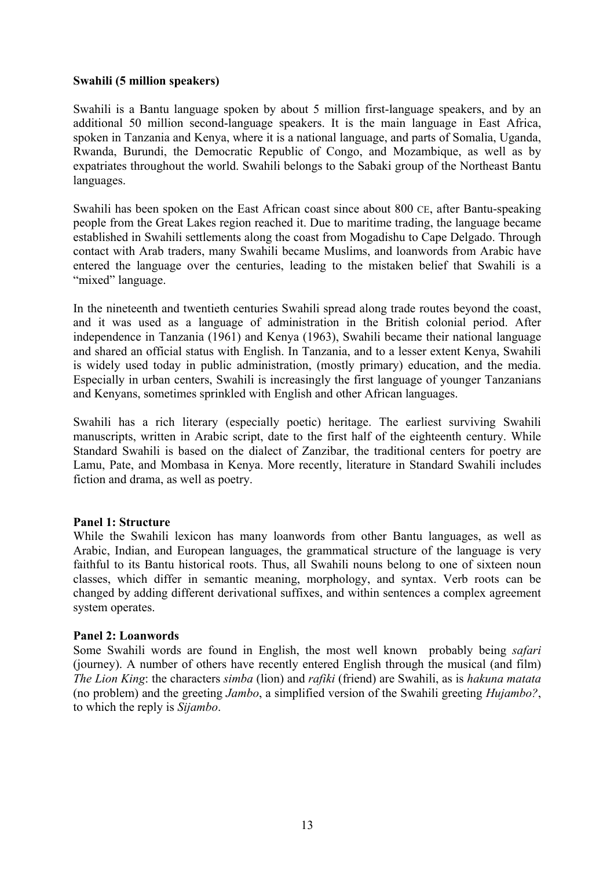### **Swahili (5 million speakers)**

Swahili is a Bantu language spoken by about 5 million first-language speakers, and by an additional 50 million second-language speakers. It is the main language in East Africa, spoken in Tanzania and Kenya, where it is a national language, and parts of Somalia, Uganda, Rwanda, Burundi, the Democratic Republic of Congo, and Mozambique, as well as by expatriates throughout the world. Swahili belongs to the Sabaki group of the Northeast Bantu languages.

Swahili has been spoken on the East African coast since about 800 CE, after Bantu-speaking people from the Great Lakes region reached it. Due to maritime trading, the language became established in Swahili settlements along the coast from Mogadishu to Cape Delgado. Through contact with Arab traders, many Swahili became Muslims, and loanwords from Arabic have entered the language over the centuries, leading to the mistaken belief that Swahili is a "mixed" language.

In the nineteenth and twentieth centuries Swahili spread along trade routes beyond the coast, and it was used as a language of administration in the British colonial period. After independence in Tanzania (1961) and Kenya (1963), Swahili became their national language and shared an official status with English. In Tanzania, and to a lesser extent Kenya, Swahili is widely used today in public administration, (mostly primary) education, and the media. Especially in urban centers, Swahili is increasingly the first language of younger Tanzanians and Kenyans, sometimes sprinkled with English and other African languages.

Swahili has a rich literary (especially poetic) heritage. The earliest surviving Swahili manuscripts, written in Arabic script, date to the first half of the eighteenth century. While Standard Swahili is based on the dialect of Zanzibar, the traditional centers for poetry are Lamu, Pate, and Mombasa in Kenya. More recently, literature in Standard Swahili includes fiction and drama, as well as poetry.

### **Panel 1: Structure**

While the Swahili lexicon has many loanwords from other Bantu languages, as well as Arabic, Indian, and European languages, the grammatical structure of the language is very faithful to its Bantu historical roots. Thus, all Swahili nouns belong to one of sixteen noun classes, which differ in semantic meaning, morphology, and syntax. Verb roots can be changed by adding different derivational suffixes, and within sentences a complex agreement system operates.

### **Panel 2: Loanwords**

Some Swahili words are found in English, the most well known probably being *safari* (journey). A number of others have recently entered English through the musical (and film) *The Lion King*: the characters *simba* (lion) and *rafiki* (friend) are Swahili, as is *hakuna matata* (no problem) and the greeting *Jambo*, a simplified version of the Swahili greeting *Hujambo?*, to which the reply is *Sijambo*.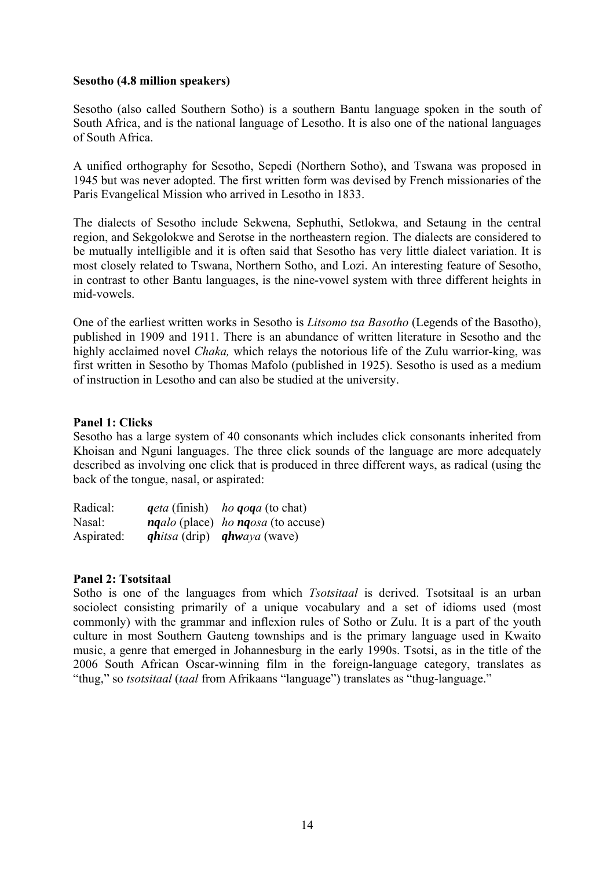### **Sesotho (4.8 million speakers)**

Sesotho (also called Southern Sotho) is a southern Bantu language spoken in the south of South Africa, and is the national language of Lesotho. It is also one of the national languages of South Africa.

A unified orthography for Sesotho, Sepedi (Northern Sotho), and Tswana was proposed in 1945 but was never adopted. The first written form was devised by French missionaries of the Paris Evangelical Mission who arrived in Lesotho in 1833.

The dialects of Sesotho include Sekwena, Sephuthi, Setlokwa, and Setaung in the central region, and Sekgolokwe and Serotse in the northeastern region. The dialects are considered to be mutually intelligible and it is often said that Sesotho has very little dialect variation. It is most closely related to Tswana, Northern Sotho, and Lozi. An interesting feature of Sesotho, in contrast to other Bantu languages, is the nine-vowel system with three different heights in mid-vowels.

One of the earliest written works in Sesotho is *Litsomo tsa Basotho* (Legends of the Basotho), published in 1909 and 1911. There is an abundance of written literature in Sesotho and the highly acclaimed novel *Chaka,* which relays the notorious life of the Zulu warrior-king, was first written in Sesotho by Thomas Mafolo (published in 1925). Sesotho is used as a medium of instruction in Lesotho and can also be studied at the university.

### **Panel 1: Clicks**

Sesotho has a large system of 40 consonants which includes click consonants inherited from Khoisan and Nguni languages. The three click sounds of the language are more adequately described as involving one click that is produced in three different ways, as radical (using the back of the tongue, nasal, or aspirated:

| Radical:   | <i>geta</i> (finish) <i>ho goga</i> (to chat)    |
|------------|--------------------------------------------------|
| Nasal:     | <i>ngalo</i> (place) <i>ho ngosa</i> (to accuse) |
| Aspirated: | <i>qhitsa</i> (drip) <i>qhwaya</i> (wave)        |

### **Panel 2: Tsotsitaal**

Sotho is one of the languages from which *Tsotsitaal* is derived. Tsotsitaal is an urban sociolect consisting primarily of a unique vocabulary and a set of idioms used (most commonly) with the grammar and inflexion rules of Sotho or Zulu. It is a part of the youth culture in most Southern Gauteng townships and is the primary language used in Kwaito music, a genre that emerged in Johannesburg in the early 1990s. Tsotsi, as in the title of the 2006 South African Oscar-winning film in the foreign-language category, translates as "thug," so *tsotsitaal* (*taal* from Afrikaans "language") translates as "thug-language."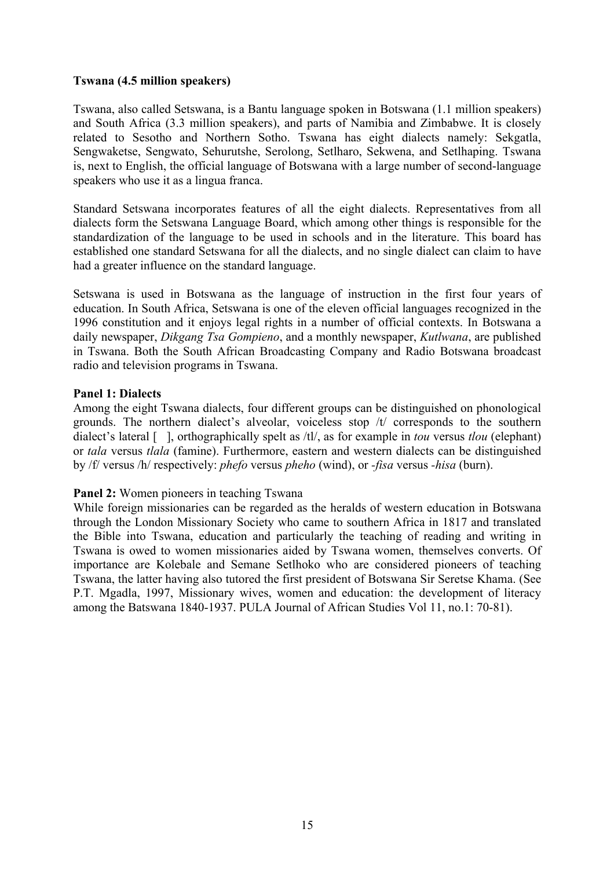## **Tswana (4.5 million speakers)**

Tswana, also called Setswana, is a Bantu language spoken in Botswana (1.1 million speakers) and South Africa (3.3 million speakers), and parts of Namibia and Zimbabwe. It is closely related to Sesotho and Northern Sotho. Tswana has eight dialects namely: Sekgatla, Sengwaketse, Sengwato, Sehurutshe, Serolong, Setlharo, Sekwena, and Setlhaping. Tswana is, next to English, the official language of Botswana with a large number of second-language speakers who use it as a lingua franca.

Standard Setswana incorporates features of all the eight dialects. Representatives from all dialects form the Setswana Language Board, which among other things is responsible for the standardization of the language to be used in schools and in the literature. This board has established one standard Setswana for all the dialects, and no single dialect can claim to have had a greater influence on the standard language.

Setswana is used in Botswana as the language of instruction in the first four years of education. In South Africa, Setswana is one of the eleven official languages recognized in the 1996 constitution and it enjoys legal rights in a number of official contexts. In Botswana a daily newspaper, *Dikgang Tsa Gompieno*, and a monthly newspaper, *Kutlwana*, are published in Tswana. Both the South African Broadcasting Company and Radio Botswana broadcast radio and television programs in Tswana.

## **Panel 1: Dialects**

Among the eight Tswana dialects, four different groups can be distinguished on phonological grounds. The northern dialect's alveolar, voiceless stop /t/ corresponds to the southern dialect's lateral [], orthographically spelt as /tl/, as for example in *tou* versus *tlou* (elephant) or *tala* versus *tlala* (famine). Furthermore, eastern and western dialects can be distinguished by /f/ versus /h/ respectively: *phefo* versus *pheho* (wind), or *-fisa* versus *-hisa* (burn).

## **Panel 2:** Women pioneers in teaching Tswana

While foreign missionaries can be regarded as the heralds of western education in Botswana through the London Missionary Society who came to southern Africa in 1817 and translated the Bible into Tswana, education and particularly the teaching of reading and writing in Tswana is owed to women missionaries aided by Tswana women, themselves converts. Of importance are Kolebale and Semane Setlhoko who are considered pioneers of teaching Tswana, the latter having also tutored the first president of Botswana Sir Seretse Khama. (See P.T. Mgadla, 1997, Missionary wives, women and education: the development of literacy among the Batswana 1840-1937. PULA Journal of African Studies Vol 11, no.1: 70-81).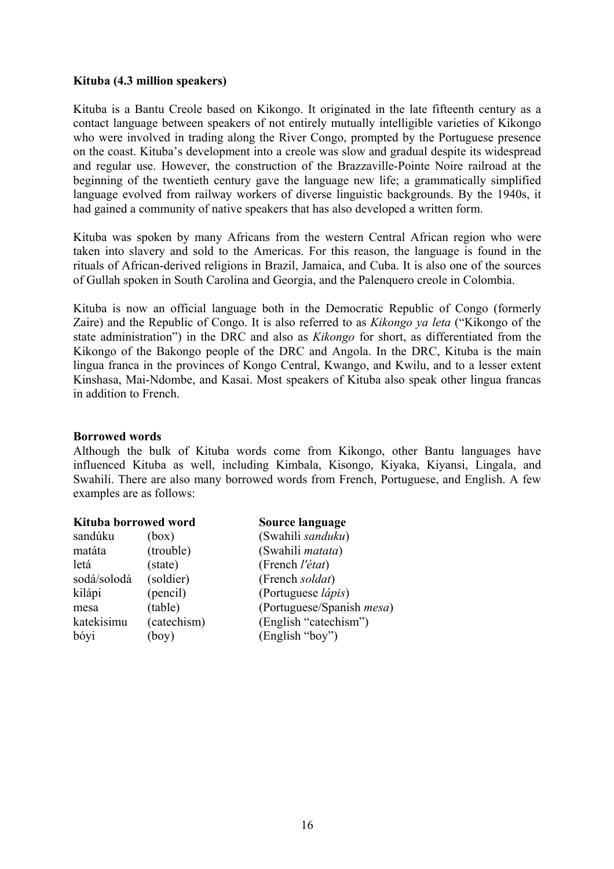### **Kituba (4.3 million speakers)**

Kituba is a Bantu Creole based on Kikongo. It originated in the late fifteenth century as a contact language between speakers of not entirely mutually intelligible varieties of Kikongo who were involved in trading along the River Congo, prompted by the Portuguese presence on the coast. Kituba's development into a creole was slow and gradual despite its widespread and regular use. However, the construction of the Brazzaville-Pointe Noire railroad at the beginning of the twentieth century gave the language new life; a grammatically simplified language evolved from railway workers of diverse linguistic backgrounds. By the 1940s, it had gained a community of native speakers that has also developed a written form.

Kituba was spoken by many Africans from the western Central African region who were taken into slavery and sold to the Americas. For this reason, the language is found in the rituals of African-derived religions in Brazil, Jamaica, and Cuba. It is also one of the sources of Gullah spoken in South Carolina and Georgia, and the Palenquero creole in Colombia.

Kituba is now an official language both in the Democratic Republic of Congo (formerly Zaire) and the Republic of Congo. It is also referred to as *Kikongo ya leta* ("Kikongo of the state administration") in the DRC and also as *Kikongo* for short, as differentiated from the Kikongo of the Bakongo people of the DRC and Angola. In the DRC, Kituba is the main lingua franca in the provinces of Kongo Central, Kwango, and Kwilu, and to a lesser extent Kinshasa, Mai-Ndombe, and Kasai. Most speakers of Kituba also speak other lingua francas in addition to French.

### **Borrowed words**

Although the bulk of Kituba words come from Kikongo, other Bantu languages have influenced Kituba as well, including Kimbala, Kisongo, Kiyaka, Kiyansi, Lingala, and Swahili. There are also many borrowed words from French, Portuguese, and English. A few examples are as follows:

| Kituba borrowed word |             | Source language                   |
|----------------------|-------------|-----------------------------------|
| sandúku              | (box)       | (Swahili sanduku)                 |
| matáta               | (trouble)   | (Swahili matata)                  |
| letá                 | (state)     | (French l'état)                   |
| sodá/solodá          | (soldier)   | (French soldat)                   |
| kilápi               | (pencil)    | (Portuguese <i>lápis</i> )        |
| mesa                 | (table)     | (Portuguese/Spanish <i>mesa</i> ) |
| katekisimu           | (catechism) | (English "catechism")             |
| bóyi                 | (boy)       | (English "boy")                   |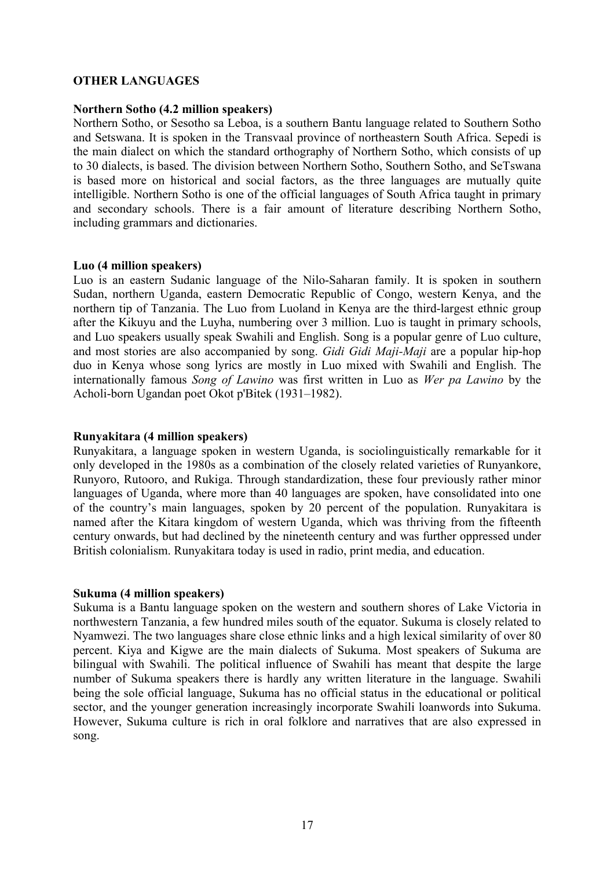### **OTHER LANGUAGES**

### **Northern Sotho (4.2 million speakers)**

Northern Sotho, or Sesotho sa Leboa, is a southern Bantu language related to Southern Sotho and Setswana. It is spoken in the Transvaal province of northeastern South Africa. Sepedi is the main dialect on which the standard orthography of Northern Sotho, which consists of up to 30 dialects, is based. The division between Northern Sotho, Southern Sotho, and SeTswana is based more on historical and social factors, as the three languages are mutually quite intelligible. Northern Sotho is one of the official languages of South Africa taught in primary and secondary schools. There is a fair amount of literature describing Northern Sotho, including grammars and dictionaries.

#### **Luo (4 million speakers)**

Luo is an eastern Sudanic language of the Nilo-Saharan family. It is spoken in southern Sudan, northern Uganda, eastern Democratic Republic of Congo, western Kenya, and the northern tip of Tanzania. The Luo from Luoland in Kenya are the third-largest ethnic group after the Kikuyu and the Luyha, numbering over 3 million. Luo is taught in primary schools, and Luo speakers usually speak Swahili and English. Song is a popular genre of Luo culture, and most stories are also accompanied by song. *Gidi Gidi Maji-Maji* are a popular hip-hop duo in Kenya whose song lyrics are mostly in Luo mixed with Swahili and English. The internationally famous *Song of Lawino* was first written in Luo as *Wer pa Lawino* by the Acholi-born Ugandan poet Okot p'Bitek (1931–1982).

## **Runyakitara (4 million speakers)**

Runyakitara, a language spoken in western Uganda, is sociolinguistically remarkable for it only developed in the 1980s as a combination of the closely related varieties of Runyankore, Runyoro, Rutooro, and Rukiga. Through standardization, these four previously rather minor languages of Uganda, where more than 40 languages are spoken, have consolidated into one of the country's main languages, spoken by 20 percent of the population. Runyakitara is named after the Kitara kingdom of western Uganda, which was thriving from the fifteenth century onwards, but had declined by the nineteenth century and was further oppressed under British colonialism. Runyakitara today is used in radio, print media, and education.

### **Sukuma (4 million speakers)**

Sukuma is a Bantu language spoken on the western and southern shores of Lake Victoria in northwestern Tanzania, a few hundred miles south of the equator. Sukuma is closely related to Nyamwezi. The two languages share close ethnic links and a high lexical similarity of over 80 percent. Kiya and Kigwe are the main dialects of Sukuma. Most speakers of Sukuma are bilingual with Swahili. The political influence of Swahili has meant that despite the large number of Sukuma speakers there is hardly any written literature in the language. Swahili being the sole official language, Sukuma has no official status in the educational or political sector, and the younger generation increasingly incorporate Swahili loanwords into Sukuma. However, Sukuma culture is rich in oral folklore and narratives that are also expressed in song.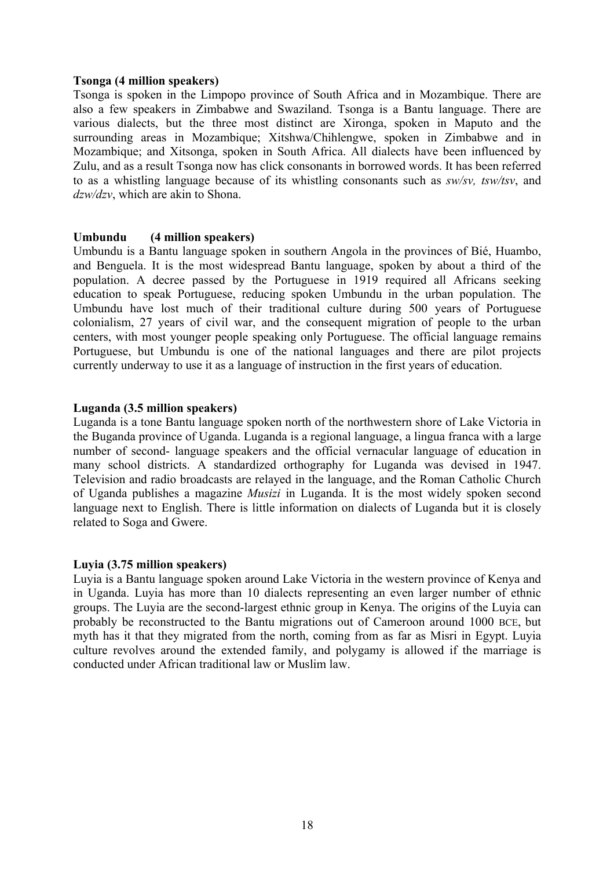### **Tsonga (4 million speakers)**

Tsonga is spoken in the Limpopo province of South Africa and in Mozambique. There are also a few speakers in Zimbabwe and Swaziland. Tsonga is a Bantu language. There are various dialects, but the three most distinct are Xironga, spoken in Maputo and the surrounding areas in Mozambique; Xitshwa/Chihlengwe, spoken in Zimbabwe and in Mozambique; and Xitsonga, spoken in South Africa. All dialects have been influenced by Zulu, and as a result Tsonga now has click consonants in borrowed words. It has been referred to as a whistling language because of its whistling consonants such as *sw/sv, tsw/tsv*, and *dzw/dzv*, which are akin to Shona.

### **Umbundu (4 million speakers)**

Umbundu is a Bantu language spoken in southern Angola in the provinces of Bié, Huambo, and Benguela. It is the most widespread Bantu language, spoken by about a third of the population. A decree passed by the Portuguese in 1919 required all Africans seeking education to speak Portuguese, reducing spoken Umbundu in the urban population. The Umbundu have lost much of their traditional culture during 500 years of Portuguese colonialism, 27 years of civil war, and the consequent migration of people to the urban centers, with most younger people speaking only Portuguese. The official language remains Portuguese, but Umbundu is one of the national languages and there are pilot projects currently underway to use it as a language of instruction in the first years of education.

### **Luganda (3.5 million speakers)**

Luganda is a tone Bantu language spoken north of the northwestern shore of Lake Victoria in the Buganda province of Uganda. Luganda is a regional language, a lingua franca with a large number of second- language speakers and the official vernacular language of education in many school districts. A standardized orthography for Luganda was devised in 1947. Television and radio broadcasts are relayed in the language, and the Roman Catholic Church of Uganda publishes a magazine *Musizi* in Luganda. It is the most widely spoken second language next to English. There is little information on dialects of Luganda but it is closely related to Soga and Gwere.

### **Luyia (3.75 million speakers)**

Luyia is a Bantu language spoken around Lake Victoria in the western province of Kenya and in Uganda. Luyia has more than 10 dialects representing an even larger number of ethnic groups. The Luyia are the second-largest ethnic group in Kenya. The origins of the Luyia can probably be reconstructed to the Bantu migrations out of Cameroon around 1000 BCE, but myth has it that they migrated from the north, coming from as far as Misri in Egypt. Luyia culture revolves around the extended family, and polygamy is allowed if the marriage is conducted under African traditional law or Muslim law.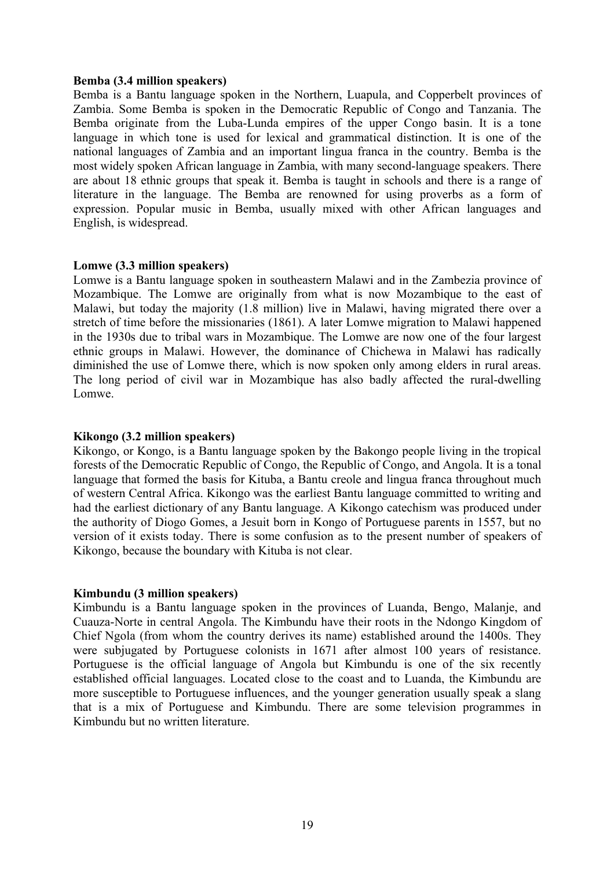#### **Bemba (3.4 million speakers)**

Bemba is a Bantu language spoken in the Northern, Luapula, and Copperbelt provinces of Zambia. Some Bemba is spoken in the Democratic Republic of Congo and Tanzania. The Bemba originate from the Luba-Lunda empires of the upper Congo basin. It is a tone language in which tone is used for lexical and grammatical distinction. It is one of the national languages of Zambia and an important lingua franca in the country. Bemba is the most widely spoken African language in Zambia, with many second-language speakers. There are about 18 ethnic groups that speak it. Bemba is taught in schools and there is a range of literature in the language. The Bemba are renowned for using proverbs as a form of expression. Popular music in Bemba, usually mixed with other African languages and English, is widespread.

### **Lomwe (3.3 million speakers)**

Lomwe is a Bantu language spoken in southeastern Malawi and in the Zambezia province of Mozambique. The Lomwe are originally from what is now Mozambique to the east of Malawi, but today the majority (1.8 million) live in Malawi, having migrated there over a stretch of time before the missionaries (1861). A later Lomwe migration to Malawi happened in the 1930s due to tribal wars in Mozambique. The Lomwe are now one of the four largest ethnic groups in Malawi. However, the dominance of Chichewa in Malawi has radically diminished the use of Lomwe there, which is now spoken only among elders in rural areas. The long period of civil war in Mozambique has also badly affected the rural-dwelling Lomwe.

### **Kikongo (3.2 million speakers)**

Kikongo, or Kongo, is a Bantu language spoken by the Bakongo people living in the tropical forests of the Democratic Republic of Congo, the Republic of Congo, and Angola. It is a tonal language that formed the basis for Kituba, a Bantu creole and lingua franca throughout much of western Central Africa. Kikongo was the earliest Bantu language committed to writing and had the earliest dictionary of any Bantu language. A Kikongo catechism was produced under the authority of Diogo Gomes, a Jesuit born in Kongo of Portuguese parents in 1557, but no version of it exists today. There is some confusion as to the present number of speakers of Kikongo, because the boundary with Kituba is not clear.

### **Kimbundu (3 million speakers)**

Kimbundu is a Bantu language spoken in the provinces of Luanda, Bengo, Malanje, and Cuauza-Norte in central Angola. The Kimbundu have their roots in the Ndongo Kingdom of Chief Ngola (from whom the country derives its name) established around the 1400s. They were subjugated by Portuguese colonists in 1671 after almost 100 years of resistance. Portuguese is the official language of Angola but Kimbundu is one of the six recently established official languages. Located close to the coast and to Luanda, the Kimbundu are more susceptible to Portuguese influences, and the younger generation usually speak a slang that is a mix of Portuguese and Kimbundu. There are some television programmes in Kimbundu but no written literature.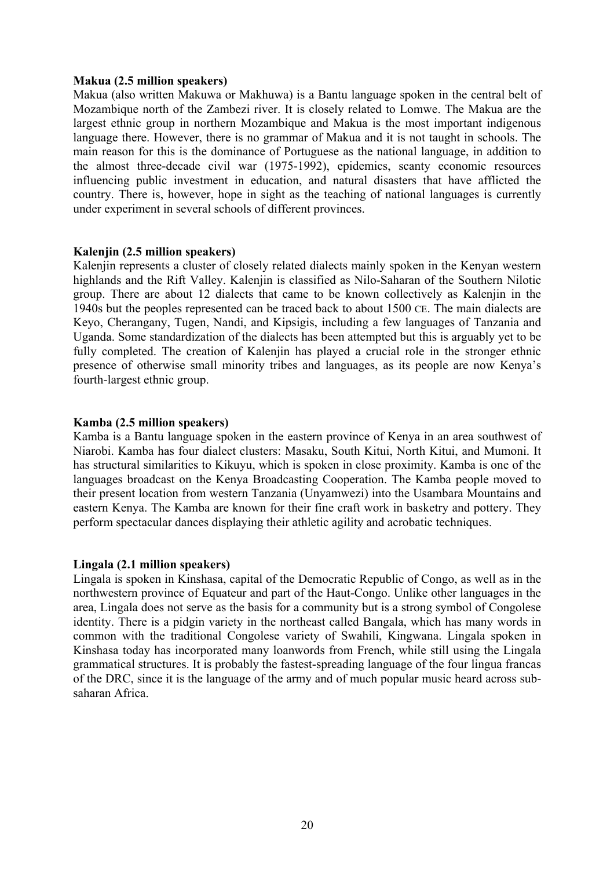#### **Makua (2.5 million speakers)**

Makua (also written Makuwa or Makhuwa) is a Bantu language spoken in the central belt of Mozambique north of the Zambezi river. It is closely related to Lomwe. The Makua are the largest ethnic group in northern Mozambique and Makua is the most important indigenous language there. However, there is no grammar of Makua and it is not taught in schools. The main reason for this is the dominance of Portuguese as the national language, in addition to the almost three-decade civil war (1975-1992), epidemics, scanty economic resources influencing public investment in education, and natural disasters that have afflicted the country. There is, however, hope in sight as the teaching of national languages is currently under experiment in several schools of different provinces.

### **Kalenjin (2.5 million speakers)**

Kalenjin represents a cluster of closely related dialects mainly spoken in the Kenyan western highlands and the Rift Valley. Kalenjin is classified as Nilo-Saharan of the Southern Nilotic group. There are about 12 dialects that came to be known collectively as Kalenjin in the 1940s but the peoples represented can be traced back to about 1500 CE. The main dialects are Keyo, Cherangany, Tugen, Nandi, and Kipsigis, including a few languages of Tanzania and Uganda. Some standardization of the dialects has been attempted but this is arguably yet to be fully completed. The creation of Kalenjin has played a crucial role in the stronger ethnic presence of otherwise small minority tribes and languages, as its people are now Kenya's fourth-largest ethnic group.

#### **Kamba (2.5 million speakers)**

Kamba is a Bantu language spoken in the eastern province of Kenya in an area southwest of Niarobi. Kamba has four dialect clusters: Masaku, South Kitui, North Kitui, and Mumoni. It has structural similarities to Kikuyu, which is spoken in close proximity. Kamba is one of the languages broadcast on the Kenya Broadcasting Cooperation. The Kamba people moved to their present location from western Tanzania (Unyamwezi) into the Usambara Mountains and eastern Kenya. The Kamba are known for their fine craft work in basketry and pottery. They perform spectacular dances displaying their athletic agility and acrobatic techniques.

### **Lingala (2.1 million speakers)**

Lingala is spoken in Kinshasa, capital of the Democratic Republic of Congo, as well as in the northwestern province of Equateur and part of the Haut-Congo. Unlike other languages in the area, Lingala does not serve as the basis for a community but is a strong symbol of Congolese identity. There is a pidgin variety in the northeast called Bangala, which has many words in common with the traditional Congolese variety of Swahili, Kingwana. Lingala spoken in Kinshasa today has incorporated many loanwords from French, while still using the Lingala grammatical structures. It is probably the fastest-spreading language of the four lingua francas of the DRC, since it is the language of the army and of much popular music heard across subsaharan Africa.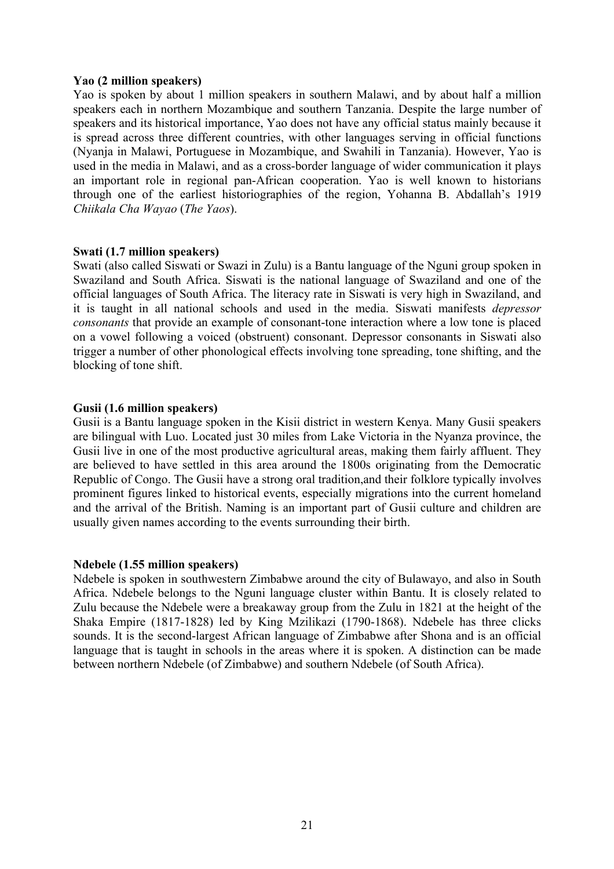### **Yao (2 million speakers)**

Yao is spoken by about 1 million speakers in southern Malawi, and by about half a million speakers each in northern Mozambique and southern Tanzania. Despite the large number of speakers and its historical importance, Yao does not have any official status mainly because it is spread across three different countries, with other languages serving in official functions (Nyanja in Malawi, Portuguese in Mozambique, and Swahili in Tanzania). However, Yao is used in the media in Malawi, and as a cross-border language of wider communication it plays an important role in regional pan-African cooperation. Yao is well known to historians through one of the earliest historiographies of the region, Yohanna B. Abdallah's 1919 *Chiikala Cha Wayao* (*The Yaos*).

### **Swati (1.7 million speakers)**

Swati (also called Siswati or Swazi in Zulu) is a Bantu language of the Nguni group spoken in Swaziland and South Africa. Siswati is the national language of Swaziland and one of the official languages of South Africa. The literacy rate in Siswati is very high in Swaziland, and it is taught in all national schools and used in the media. Siswati manifests *depressor consonants* that provide an example of consonant-tone interaction where a low tone is placed on a vowel following a voiced (obstruent) consonant. Depressor consonants in Siswati also trigger a number of other phonological effects involving tone spreading, tone shifting, and the blocking of tone shift.

#### **Gusii (1.6 million speakers)**

Gusii is a Bantu language spoken in the Kisii district in western Kenya. Many Gusii speakers are bilingual with Luo. Located just 30 miles from Lake Victoria in the Nyanza province, the Gusii live in one of the most productive agricultural areas, making them fairly affluent. They are believed to have settled in this area around the 1800s originating from the Democratic Republic of Congo. The Gusii have a strong oral tradition,and their folklore typically involves prominent figures linked to historical events, especially migrations into the current homeland and the arrival of the British. Naming is an important part of Gusii culture and children are usually given names according to the events surrounding their birth.

#### **Ndebele (1.55 million speakers)**

Ndebele is spoken in southwestern Zimbabwe around the city of Bulawayo, and also in South Africa. Ndebele belongs to the Nguni language cluster within Bantu. It is closely related to Zulu because the Ndebele were a breakaway group from the Zulu in 1821 at the height of the Shaka Empire (1817-1828) led by King Mzilikazi (1790-1868). Ndebele has three clicks sounds. It is the second-largest African language of Zimbabwe after Shona and is an official language that is taught in schools in the areas where it is spoken. A distinction can be made between northern Ndebele (of Zimbabwe) and southern Ndebele (of South Africa).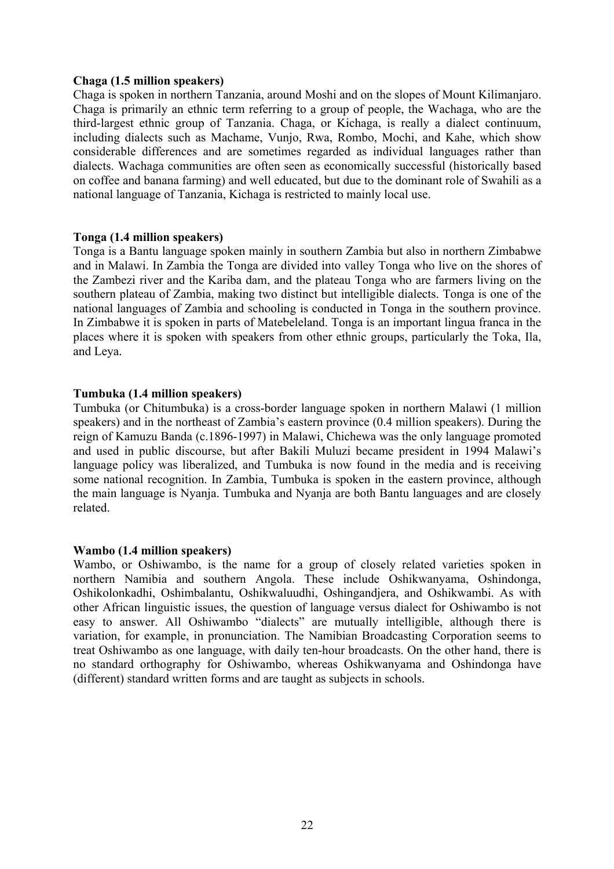### **Chaga (1.5 million speakers)**

Chaga is spoken in northern Tanzania, around Moshi and on the slopes of Mount Kilimanjaro. Chaga is primarily an ethnic term referring to a group of people, the Wachaga, who are the third-largest ethnic group of Tanzania. Chaga, or Kichaga, is really a dialect continuum, including dialects such as Machame, Vunjo, Rwa, Rombo, Mochi, and Kahe, which show considerable differences and are sometimes regarded as individual languages rather than dialects. Wachaga communities are often seen as economically successful (historically based on coffee and banana farming) and well educated, but due to the dominant role of Swahili as a national language of Tanzania, Kichaga is restricted to mainly local use.

### **Tonga (1.4 million speakers)**

Tonga is a Bantu language spoken mainly in southern Zambia but also in northern Zimbabwe and in Malawi. In Zambia the Tonga are divided into valley Tonga who live on the shores of the Zambezi river and the Kariba dam, and the plateau Tonga who are farmers living on the southern plateau of Zambia, making two distinct but intelligible dialects. Tonga is one of the national languages of Zambia and schooling is conducted in Tonga in the southern province. In Zimbabwe it is spoken in parts of Matebeleland. Tonga is an important lingua franca in the places where it is spoken with speakers from other ethnic groups, particularly the Toka, Ila, and Leya.

## **Tumbuka (1.4 million speakers)**

Tumbuka (or Chitumbuka) is a cross-border language spoken in northern Malawi (1 million speakers) and in the northeast of Zambia's eastern province (0.4 million speakers). During the reign of Kamuzu Banda (c.1896-1997) in Malawi, Chichewa was the only language promoted and used in public discourse, but after Bakili Muluzi became president in 1994 Malawi's language policy was liberalized, and Tumbuka is now found in the media and is receiving some national recognition. In Zambia, Tumbuka is spoken in the eastern province, although the main language is Nyanja. Tumbuka and Nyanja are both Bantu languages and are closely related.

## **Wambo (1.4 million speakers)**

Wambo, or Oshiwambo, is the name for a group of closely related varieties spoken in northern Namibia and southern Angola. These include Oshikwanyama, Oshindonga, Oshikolonkadhi, Oshimbalantu, Oshikwaluudhi, Oshingandjera, and Oshikwambi. As with other African linguistic issues, the question of language versus dialect for Oshiwambo is not easy to answer. All Oshiwambo "dialects" are mutually intelligible, although there is variation, for example, in pronunciation. The Namibian Broadcasting Corporation seems to treat Oshiwambo as one language, with daily ten-hour broadcasts. On the other hand, there is no standard orthography for Oshiwambo, whereas Oshikwanyama and Oshindonga have (different) standard written forms and are taught as subjects in schools.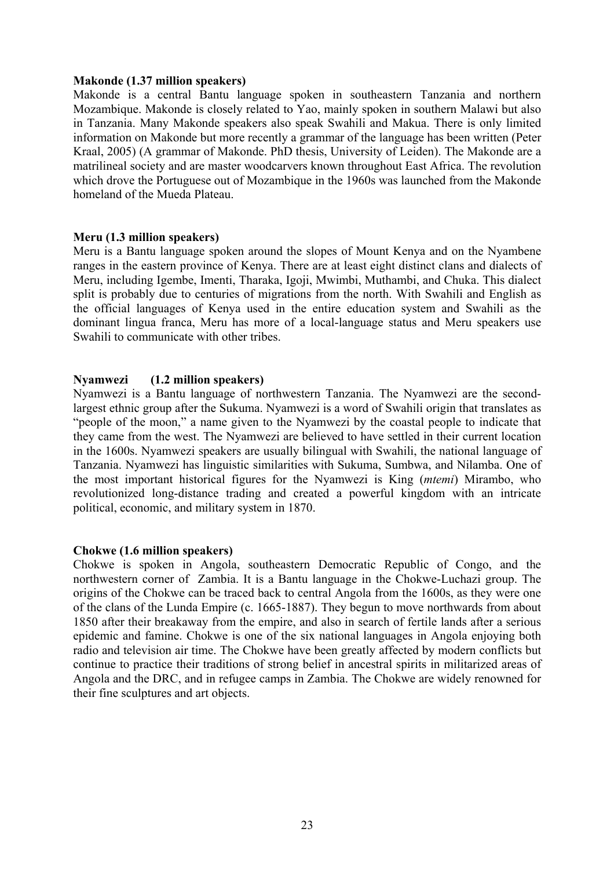#### **Makonde (1.37 million speakers)**

Makonde is a central Bantu language spoken in southeastern Tanzania and northern Mozambique. Makonde is closely related to Yao, mainly spoken in southern Malawi but also in Tanzania. Many Makonde speakers also speak Swahili and Makua. There is only limited information on Makonde but more recently a grammar of the language has been written (Peter Kraal, 2005) (A grammar of Makonde. PhD thesis, University of Leiden). The Makonde are a matrilineal society and are master woodcarvers known throughout East Africa. The revolution which drove the Portuguese out of Mozambique in the 1960s was launched from the Makonde homeland of the Mueda Plateau.

#### **Meru (1.3 million speakers)**

Meru is a Bantu language spoken around the slopes of Mount Kenya and on the Nyambene ranges in the eastern province of Kenya. There are at least eight distinct clans and dialects of Meru, including Igembe, Imenti, Tharaka, Igoji, Mwimbi, Muthambi, and Chuka. This dialect split is probably due to centuries of migrations from the north. With Swahili and English as the official languages of Kenya used in the entire education system and Swahili as the dominant lingua franca, Meru has more of a local-language status and Meru speakers use Swahili to communicate with other tribes.

### **Nyamwezi (1.2 million speakers)**

Nyamwezi is a Bantu language of northwestern Tanzania. The Nyamwezi are the secondlargest ethnic group after the Sukuma. Nyamwezi is a word of Swahili origin that translates as "people of the moon," a name given to the Nyamwezi by the coastal people to indicate that they came from the west. The Nyamwezi are believed to have settled in their current location in the 1600s. Nyamwezi speakers are usually bilingual with Swahili, the national language of Tanzania. Nyamwezi has linguistic similarities with Sukuma, Sumbwa, and Nilamba. One of the most important historical figures for the Nyamwezi is King (*mtemi*) Mirambo, who revolutionized long-distance trading and created a powerful kingdom with an intricate political, economic, and military system in 1870.

### **Chokwe (1.6 million speakers)**

Chokwe is spoken in Angola, southeastern Democratic Republic of Congo, and the northwestern corner of Zambia. It is a Bantu language in the Chokwe-Luchazi group. The origins of the Chokwe can be traced back to central Angola from the 1600s, as they were one of the clans of the Lunda Empire (c. 1665-1887). They begun to move northwards from about 1850 after their breakaway from the empire, and also in search of fertile lands after a serious epidemic and famine. Chokwe is one of the six national languages in Angola enjoying both radio and television air time. The Chokwe have been greatly affected by modern conflicts but continue to practice their traditions of strong belief in ancestral spirits in militarized areas of Angola and the DRC, and in refugee camps in Zambia. The Chokwe are widely renowned for their fine sculptures and art objects.